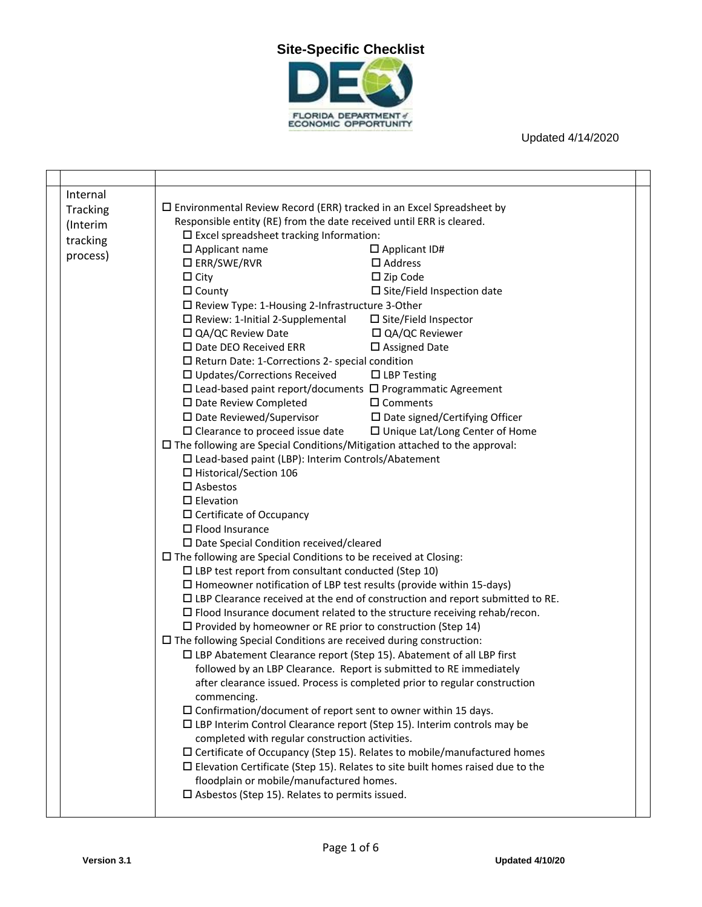

| Internal |                                                                                                                  |                                          |  |
|----------|------------------------------------------------------------------------------------------------------------------|------------------------------------------|--|
| Tracking | $\square$ Environmental Review Record (ERR) tracked in an Excel Spreadsheet by                                   |                                          |  |
| (Interim | Responsible entity (RE) from the date received until ERR is cleared.                                             |                                          |  |
| tracking | $\square$ Excel spreadsheet tracking Information:                                                                |                                          |  |
| process) | $\square$ Applicant name                                                                                         | $\Box$ Applicant ID#                     |  |
|          | $\square$ ERR/SWE/RVR                                                                                            | $\Box$ Address                           |  |
|          | $\Box$ City                                                                                                      | $\square$ Zip Code                       |  |
|          | $\Box$ County                                                                                                    | $\square$ Site/Field Inspection date     |  |
|          | □ Review Type: 1-Housing 2-Infrastructure 3-Other                                                                |                                          |  |
|          | $\square$ Review: 1-Initial 2-Supplemental                                                                       | □ Site/Field Inspector                   |  |
|          | □ QA/QC Review Date                                                                                              | □ QA/QC Reviewer                         |  |
|          | $\square$ Date DEO Received ERR                                                                                  | $\square$ Assigned Date                  |  |
|          | $\square$ Return Date: 1-Corrections 2- special condition                                                        | $\Box$ LBP Testing                       |  |
|          | $\square$ Updates/Corrections Received<br>$\Box$ Lead-based paint report/documents $\Box$ Programmatic Agreement |                                          |  |
|          | □ Date Review Completed                                                                                          | $\Box$ Comments                          |  |
|          | $\square$ Date Reviewed/Supervisor                                                                               | $\square$ Date signed/Certifying Officer |  |
|          | $\square$ Clearance to proceed issue date                                                                        | $\Box$ Unique Lat/Long Center of Home    |  |
|          | $\square$ The following are Special Conditions/Mitigation attached to the approval:                              |                                          |  |
|          | □ Lead-based paint (LBP): Interim Controls/Abatement                                                             |                                          |  |
|          | □ Historical/Section 106                                                                                         |                                          |  |
|          | $\square$ Asbestos                                                                                               |                                          |  |
|          | $\Box$ Elevation                                                                                                 |                                          |  |
|          | $\Box$ Certificate of Occupancy                                                                                  |                                          |  |
|          | $\Box$ Flood Insurance                                                                                           |                                          |  |
|          | $\square$ Date Special Condition received/cleared                                                                |                                          |  |
|          | $\square$ The following are Special Conditions to be received at Closing:                                        |                                          |  |
|          | $\Box$ LBP test report from consultant conducted (Step 10)                                                       |                                          |  |
|          | $\Box$ Homeowner notification of LBP test results (provide within 15-days)                                       |                                          |  |
|          | $\Box$ LBP Clearance received at the end of construction and report submitted to RE.                             |                                          |  |
|          | $\square$ Flood Insurance document related to the structure receiving rehab/recon.                               |                                          |  |
|          | $\Box$ Provided by homeowner or RE prior to construction (Step 14)                                               |                                          |  |
|          | $\square$ The following Special Conditions are received during construction:                                     |                                          |  |
|          | $\square$ LBP Abatement Clearance report (Step 15). Abatement of all LBP first                                   |                                          |  |
|          | followed by an LBP Clearance. Report is submitted to RE immediately                                              |                                          |  |
|          | after clearance issued. Process is completed prior to regular construction                                       |                                          |  |
|          | commencing.                                                                                                      |                                          |  |
|          | $\square$ Confirmation/document of report sent to owner within 15 days.                                          |                                          |  |
|          | □ LBP Interim Control Clearance report (Step 15). Interim controls may be                                        |                                          |  |
|          | completed with regular construction activities.                                                                  |                                          |  |
|          | $\Box$ Certificate of Occupancy (Step 15). Relates to mobile/manufactured homes                                  |                                          |  |
|          | $\square$ Elevation Certificate (Step 15). Relates to site built homes raised due to the                         |                                          |  |
|          | floodplain or mobile/manufactured homes.                                                                         |                                          |  |
|          | $\square$ Asbestos (Step 15). Relates to permits issued.                                                         |                                          |  |
|          |                                                                                                                  |                                          |  |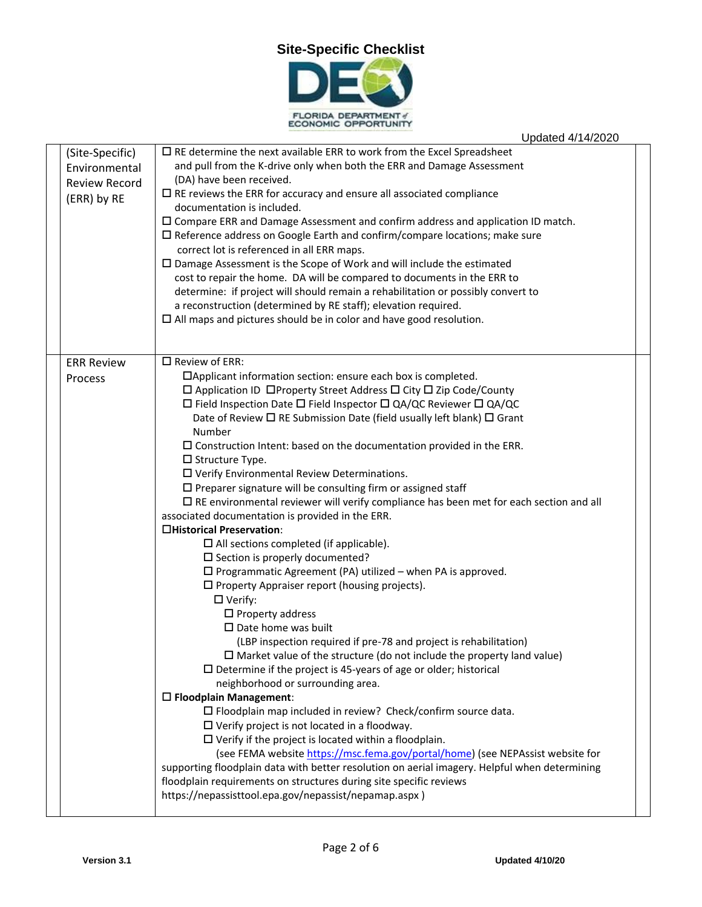

FLORIDA DEPARTMENT of

## Updated 4/14/2020 (Site-Specific) Environmental Review Record (ERR) by RE  $\square$  RE determine the next available ERR to work from the Excel Spreadsheet and pull from the K-drive only when both the ERR and Damage Assessment (DA) have been received.  $\Box$  RE reviews the ERR for accuracy and ensure all associated compliance documentation is included.  $\square$  Compare ERR and Damage Assessment and confirm address and application ID match.  $\square$  Reference address on Google Earth and confirm/compare locations; make sure correct lot is referenced in all ERR maps. Damage Assessment is the Scope of Work and will include the estimated cost to repair the home. DA will be compared to documents in the ERR to determine: if project will should remain a rehabilitation or possibly convert to a reconstruction (determined by RE staff); elevation required.  $\Box$  All maps and pictures should be in color and have good resolution. ERR Review Process  $\square$  Review of ERR: Applicant information section: ensure each box is completed.  $\Box$  Application ID  $\Box$ Property Street Address  $\Box$  City  $\Box$  Zip Code/County  $\Box$  Field Inspection Date  $\Box$  Field Inspector  $\Box$  QA/QC Reviewer  $\Box$  QA/QC Date of Review  $\Box$  RE Submission Date (field usually left blank)  $\Box$  Grant Number  $\square$  Construction Intent: based on the documentation provided in the ERR.  $\square$  Structure Type. Verify Environmental Review Determinations.  $\square$  Preparer signature will be consulting firm or assigned staff  $\square$  RE environmental reviewer will verify compliance has been met for each section and all associated documentation is provided in the ERR. **Historical Preservation**:  $\Box$  All sections completed (if applicable).  $\square$  Section is properly documented?  $\square$  Programmatic Agreement (PA) utilized – when PA is approved.  $\square$  Property Appraiser report (housing projects). □ Verify:  $\square$  Property address  $\square$  Date home was built (LBP inspection required if pre-78 and project is rehabilitation)  $\square$  Market value of the structure (do not include the property land value)  $\square$  Determine if the project is 45-years of age or older; historical neighborhood or surrounding area. **Floodplain Management**: Floodplain map included in review? Check/confirm source data.  $\square$  Verify project is not located in a floodway.  $\square$  Verify if the project is located within a floodplain. (see FEMA website [https://msc.fema.gov/portal/home\)](https://msc.fema.gov/portal/home) (see NEPAssist website for supporting floodplain data with better resolution on aerial imagery. Helpful when determining floodplain requirements on structures during site specific reviews https://nepassisttool.epa.gov/nepassist/nepamap.aspx )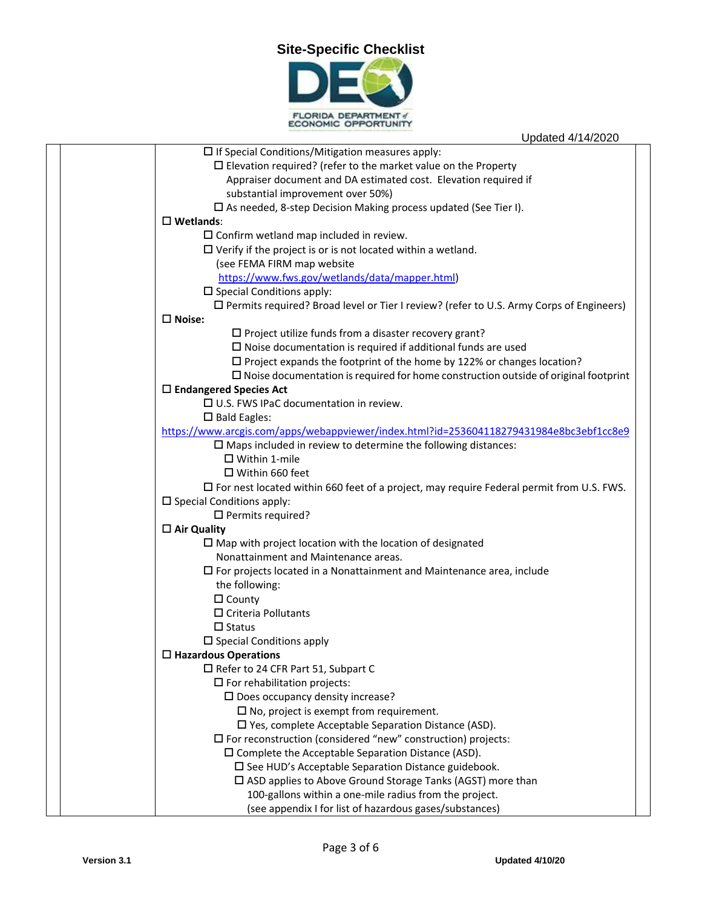## **Site-Specific Checklist**



| Updated 4/14/2020                                                                                 |
|---------------------------------------------------------------------------------------------------|
| $\square$ If Special Conditions/Mitigation measures apply:                                        |
| $\square$ Elevation required? (refer to the market value on the Property                          |
| Appraiser document and DA estimated cost. Elevation required if                                   |
| substantial improvement over 50%)                                                                 |
| $\square$ As needed, 8-step Decision Making process updated (See Tier I).                         |
| $\square$ Wetlands:                                                                               |
| $\square$ Confirm wetland map included in review.                                                 |
| $\Box$ Verify if the project is or is not located within a wetland.                               |
| (see FEMA FIRM map website                                                                        |
| https://www.fws.gov/wetlands/data/mapper.html)                                                    |
| $\square$ Special Conditions apply:                                                               |
| $\square$ Permits required? Broad level or Tier I review? (refer to U.S. Army Corps of Engineers) |
| $\square$ Noise:                                                                                  |
| $\square$ Project utilize funds from a disaster recovery grant?                                   |
| $\square$ Noise documentation is required if additional funds are used                            |
| $\Box$ Project expands the footprint of the home by 122% or changes location?                     |
| $\square$ Noise documentation is required for home construction outside of original footprint     |
| $\Box$ Endangered Species Act                                                                     |
| $\Box$ U.S. FWS IPaC documentation in review.                                                     |
| $\square$ Bald Eagles:                                                                            |
| https://www.arcgis.com/apps/webappviewer/index.html?id=253604118279431984e8bc3ebf1cc8e9           |
| $\square$ Maps included in review to determine the following distances:                           |
| $\Box$ Within 1-mile                                                                              |
| $\Box$ Within 660 feet                                                                            |
| $\Box$ For nest located within 660 feet of a project, may require Federal permit from U.S. FWS.   |
| $\square$ Special Conditions apply:                                                               |
| $\Box$ Permits required?                                                                          |
| $\Box$ Air Quality                                                                                |
| $\square$ Map with project location with the location of designated                               |
| Nonattainment and Maintenance areas.                                                              |
| $\square$ For projects located in a Nonattainment and Maintenance area, include                   |
| the following:                                                                                    |
| $\Box$ County                                                                                     |
| $\Box$ Criteria Pollutants                                                                        |
| $\Box$ Status                                                                                     |
| $\square$ Special Conditions apply                                                                |
| $\Box$ Hazardous Operations                                                                       |
| □ Refer to 24 CFR Part 51, Subpart C                                                              |
| $\square$ For rehabilitation projects:                                                            |
| $\square$ Does occupancy density increase?                                                        |
| $\square$ No, project is exempt from requirement.                                                 |
| $\square$ Yes, complete Acceptable Separation Distance (ASD).                                     |
| $\square$ For reconstruction (considered "new" construction) projects:                            |
| $\square$ Complete the Acceptable Separation Distance (ASD).                                      |
| $\square$ See HUD's Acceptable Separation Distance guidebook.                                     |
| □ ASD applies to Above Ground Storage Tanks (AGST) more than                                      |
| 100-gallons within a one-mile radius from the project.                                            |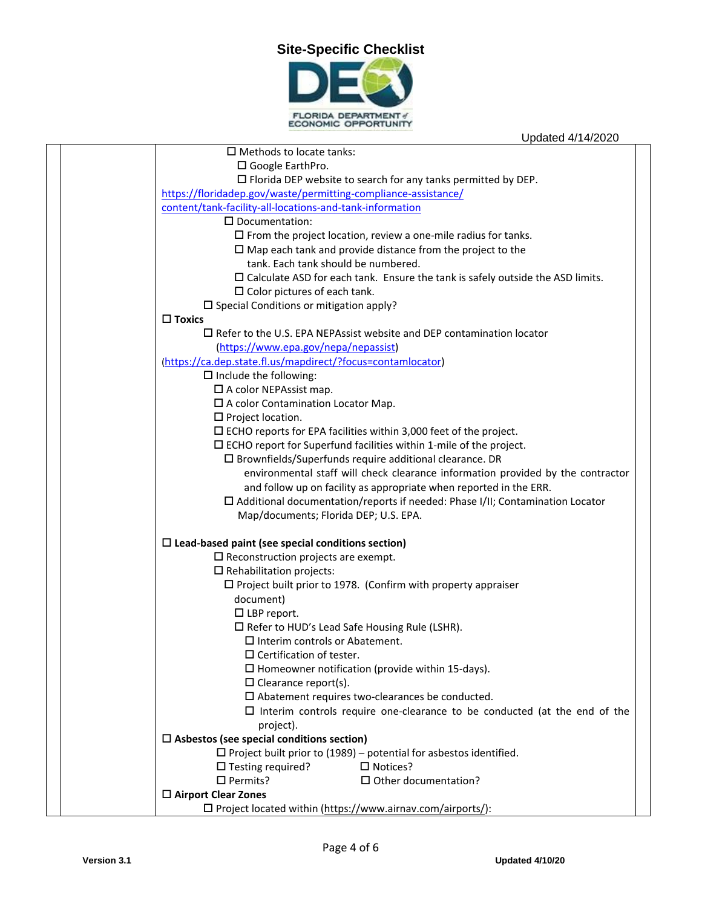

|                                                                | $\Box$ Methods to locate tanks:                                                          |  |  |
|----------------------------------------------------------------|------------------------------------------------------------------------------------------|--|--|
|                                                                | $\Box$ Google EarthPro.                                                                  |  |  |
|                                                                | $\Box$ Florida DEP website to search for any tanks permitted by DEP.                     |  |  |
| https://floridadep.gov/waste/permitting-compliance-assistance/ |                                                                                          |  |  |
|                                                                | content/tank-facility-all-locations-and-tank-information                                 |  |  |
|                                                                | $\square$ Documentation:                                                                 |  |  |
|                                                                | $\square$ From the project location, review a one-mile radius for tanks.                 |  |  |
|                                                                | $\square$ Map each tank and provide distance from the project to the                     |  |  |
| tank. Each tank should be numbered.                            |                                                                                          |  |  |
|                                                                | $\square$ Calculate ASD for each tank. Ensure the tank is safely outside the ASD limits. |  |  |
|                                                                | $\square$ Color pictures of each tank.                                                   |  |  |
|                                                                | $\square$ Special Conditions or mitigation apply?                                        |  |  |
|                                                                | $\Box$ Toxics                                                                            |  |  |
|                                                                | $\Box$ Refer to the U.S. EPA NEPAssist website and DEP contamination locator             |  |  |
|                                                                | (https://www.epa.gov/nepa/nepassist)                                                     |  |  |
|                                                                | (https://ca.dep.state.fl.us/mapdirect/?focus=contamlocator)                              |  |  |
|                                                                | $\Box$ Include the following:                                                            |  |  |
|                                                                | $\square$ A color NEPAssist map.                                                         |  |  |
|                                                                | $\square$ A color Contamination Locator Map.                                             |  |  |
|                                                                | $\square$ Project location.                                                              |  |  |
|                                                                | $\Box$ ECHO reports for EPA facilities within 3,000 feet of the project.                 |  |  |
|                                                                | $\square$ ECHO report for Superfund facilities within 1-mile of the project.             |  |  |
|                                                                | $\square$ Brownfields/Superfunds require additional clearance. DR                        |  |  |
|                                                                | environmental staff will check clearance information provided by the contractor          |  |  |
|                                                                | and follow up on facility as appropriate when reported in the ERR.                       |  |  |
|                                                                | $\Box$ Additional documentation/reports if needed: Phase I/II; Contamination Locator     |  |  |
|                                                                | Map/documents; Florida DEP; U.S. EPA.                                                    |  |  |
|                                                                |                                                                                          |  |  |
|                                                                | $\square$ Lead-based paint (see special conditions section)                              |  |  |
|                                                                | $\square$ Reconstruction projects are exempt.                                            |  |  |
|                                                                | $\square$ Rehabilitation projects:                                                       |  |  |
|                                                                | $\Box$ Project built prior to 1978. (Confirm with property appraiser                     |  |  |
|                                                                | document)                                                                                |  |  |
|                                                                | $\square$ LBP report.                                                                    |  |  |
|                                                                | $\square$ Refer to HUD's Lead Safe Housing Rule (LSHR).                                  |  |  |
|                                                                | $\square$ Interim controls or Abatement.                                                 |  |  |
|                                                                | $\Box$ Certification of tester.                                                          |  |  |
|                                                                | $\Box$ Homeowner notification (provide within 15-days).                                  |  |  |
|                                                                | $\square$ Clearance report(s).                                                           |  |  |
|                                                                | $\square$ Abatement requires two-clearances be conducted.                                |  |  |
|                                                                | $\Box$ Interim controls require one-clearance to be conducted (at the end of the         |  |  |
|                                                                | project).                                                                                |  |  |
|                                                                | $\square$ Asbestos (see special conditions section)                                      |  |  |
|                                                                | $\Box$ Project built prior to (1989) – potential for asbestos identified.                |  |  |
|                                                                | $\square$ Notices?<br>$\Box$ Testing required?                                           |  |  |
|                                                                | $\Box$ Permits?<br>$\square$ Other documentation?                                        |  |  |
|                                                                | $\Box$ Airport Clear Zones                                                               |  |  |
|                                                                | $\Box$ Project located within (https://www.airnav.com/airports/):                        |  |  |
|                                                                |                                                                                          |  |  |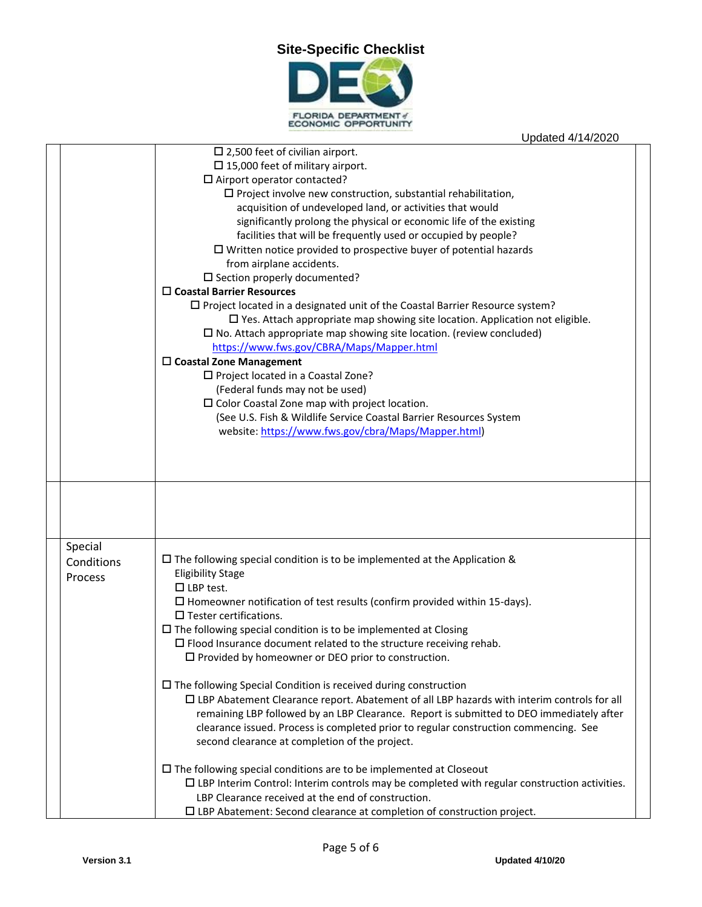

|            | $\square$ 2,500 feet of civilian airport.                                                              |
|------------|--------------------------------------------------------------------------------------------------------|
|            | $\square$ 15,000 feet of military airport.                                                             |
|            | $\square$ Airport operator contacted?                                                                  |
|            | $\square$ Project involve new construction, substantial rehabilitation,                                |
|            | acquisition of undeveloped land, or activities that would                                              |
|            | significantly prolong the physical or economic life of the existing                                    |
|            | facilities that will be frequently used or occupied by people?                                         |
|            | $\Box$ Written notice provided to prospective buyer of potential hazards                               |
|            | from airplane accidents.                                                                               |
|            | $\square$ Section properly documented?                                                                 |
|            | $\Box$ Coastal Barrier Resources                                                                       |
|            | $\square$ Project located in a designated unit of the Coastal Barrier Resource system?                 |
|            | $\square$ Yes. Attach appropriate map showing site location. Application not eligible.                 |
|            | $\square$ No. Attach appropriate map showing site location. (review concluded)                         |
|            | https://www.fws.gov/CBRA/Maps/Mapper.html                                                              |
|            | $\Box$ Coastal Zone Management                                                                         |
|            | $\square$ Project located in a Coastal Zone?                                                           |
|            | (Federal funds may not be used)                                                                        |
|            | $\square$ Color Coastal Zone map with project location.                                                |
|            | (See U.S. Fish & Wildlife Service Coastal Barrier Resources System                                     |
|            | website: https://www.fws.gov/cbra/Maps/Mapper.html)                                                    |
|            |                                                                                                        |
|            |                                                                                                        |
|            |                                                                                                        |
|            |                                                                                                        |
|            |                                                                                                        |
|            |                                                                                                        |
|            |                                                                                                        |
| Special    |                                                                                                        |
| Conditions | $\Box$ The following special condition is to be implemented at the Application &                       |
| Process    | <b>Eligibility Stage</b>                                                                               |
|            | $\Box$ LBP test.                                                                                       |
|            | $\square$ Homeowner notification of test results (confirm provided within 15-days).                    |
|            | $\square$ Tester certifications.                                                                       |
|            | $\Box$ The following special condition is to be implemented at Closing                                 |
|            | $\square$ Flood Insurance document related to the structure receiving rehab.                           |
|            | $\square$ Provided by homeowner or DEO prior to construction.                                          |
|            |                                                                                                        |
|            | $\Box$ The following Special Condition is received during construction                                 |
|            | $\Box$ LBP Abatement Clearance report. Abatement of all LBP hazards with interim controls for all      |
|            | remaining LBP followed by an LBP Clearance. Report is submitted to DEO immediately after               |
|            | clearance issued. Process is completed prior to regular construction commencing. See                   |
|            | second clearance at completion of the project.                                                         |
|            |                                                                                                        |
|            | $\Box$ The following special conditions are to be implemented at Closeout                              |
|            | $\square$ LBP Interim Control: Interim controls may be completed with regular construction activities. |
|            | LBP Clearance received at the end of construction.                                                     |
|            | $\square$ LBP Abatement: Second clearance at completion of construction project.                       |